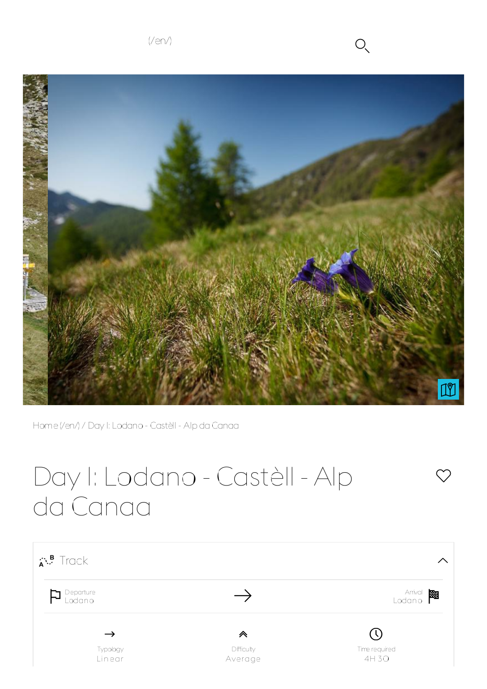$(Ven)$   $O \sim$ 



 $\heartsuit$ 



Home(/en/) / Day 1: Lodano - Castèll - Alp da Canaa

# Day 1: Lodano - Castèll - Alp da Canaa

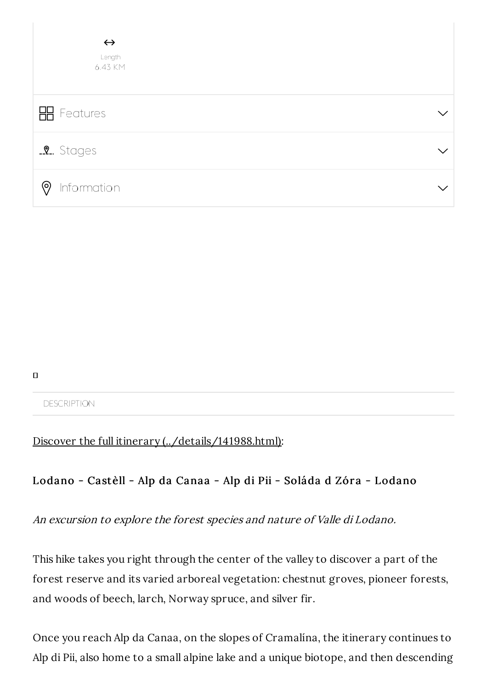| $\leftrightarrow$<br>Length<br>6.43 KM |  |
|----------------------------------------|--|
| <b>H</b> Features                      |  |
| <b>2.</b> Stages                       |  |
| $\circledcirc$<br>Information          |  |

 $\mathbf{\Pi}$ 

#### **DESCRIPTION**

### Discover the full itinerary (../details/141988.html):

## Lodano - Castèll - Alp da Canaa - Alp di Pii - Soláda d Zóra - Lodano

An excursion to explore the forest species and nature of Valle di Lodano.

This hike takes you right through the center of the valley to discover a part of the forest reserve and its varied arboreal vegetation: chestnut groves, pioneer forests, and woods of beech, larch, Norway spruce, and silver fir.

Once you reach Alp da Canaa, on the slopes of Cramalína, the itinerary continues to Alp di Pii, also home to a small alpine lake and a unique biotope, and then descending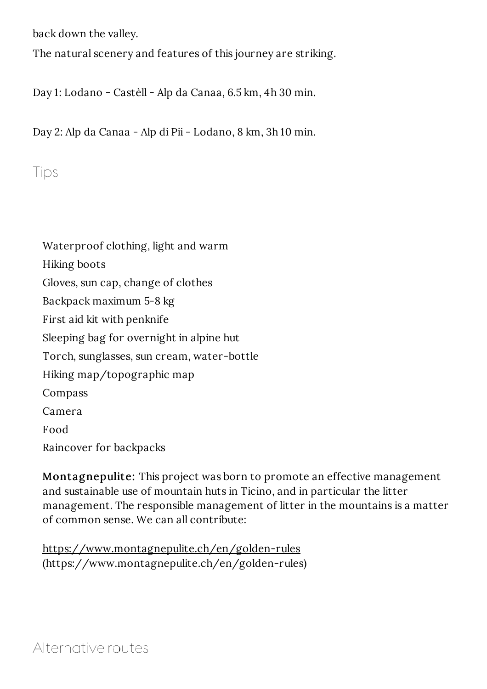back down the valley.

The natural scenery and features of this journey are striking.

Day 1: Lodano - Castèll - Alp da Canaa, 6.5 km, 4h 30 min.

Day 2: Alp da Canaa - Alp di Pii - Lodano, 8 km, 3h 10 min.

Tips



Montagnepulite: This project was born to promote an effective management and sustainable use of mountain huts in Ticino, and in particular the litter management. The responsible management of litter in the mountains is a matter of common sense. We can all contribute:

https://www.montagnepulite.ch/en/golden-rules (https://www.montagnepulite.ch/en/golden-rules)

Alternative routes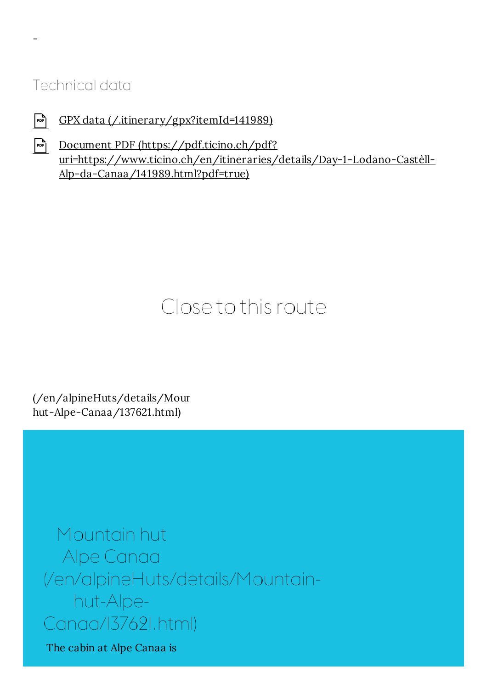## Technical data

-

- $F_{\text{per}}$  GPX data (/.itinerary/gpx?itemId=141989)
- Document PDF (https://pdf.ticino.ch/pdf? uri=https://www.ticino.ch/en/itineraries/details/Day-1-Lodano-Castèll-Alp-da-Canaa/141989.html?pdf=true)

## Close to this route

 $//en/alpineHuts/details/Mour$ hut-Alpe-Canaa/137621.html)

Mountain hut Alpe Canaa (/en/alpineHuts/details/Mountainhut-Alpe-Canaa/137621.html)

The cabin at Alpe Canaa is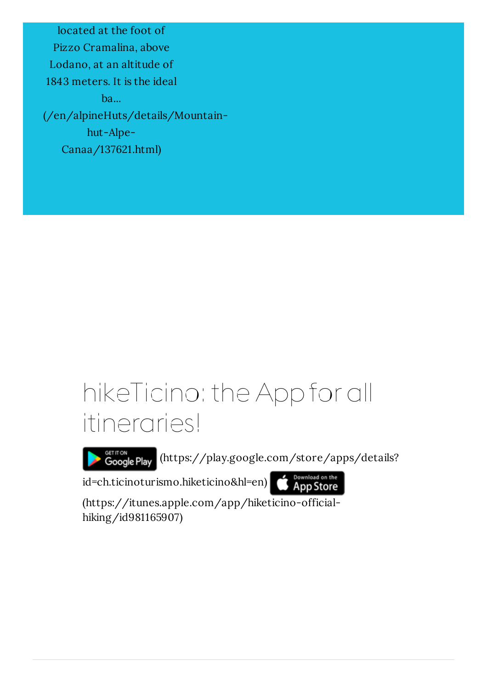located at the foot of Pizzo Cramalina, above Lodano, at an altitude of 1843 meters. It is the ideal ba... (/en/alpineHuts/details/Mountainhut-Alpe-Canaa/137621.html)

## hikeTicino: the App for all itineraries!

Google Play (https://play.google.com/store/apps/details?

id=ch.ticinoturismo.hiketicino&hl=en)

**App Store** 

(https://itunes.apple.com/app/hiketicino-officialhiking/id981165907)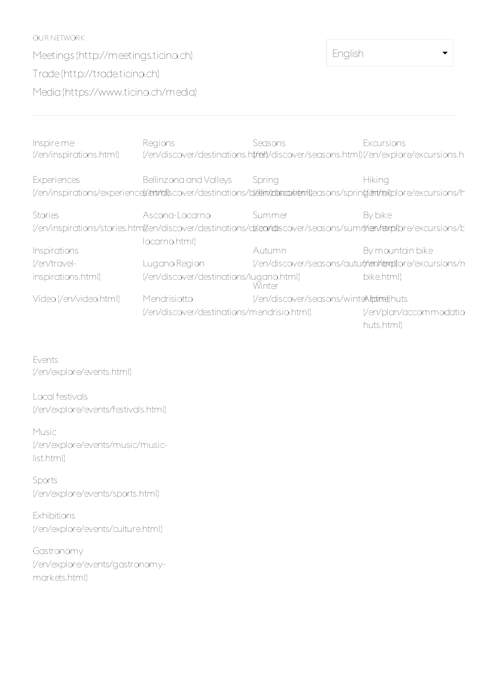OUR NETWORK Meetings (http://meetings.ticino.ch) Trade(http://trade.ticino.ch) Media(https://www.ticino.ch/media)

English

| Inspire me<br>(/en/inspirations.html)                                                                             | Regions                                                                                                                                             | Seasons<br>(/en/discover/destinations.ht/reit)/discover/seasons.html)(/en/explore/excursions.ht | Excursions                           |  |  |  |  |
|-------------------------------------------------------------------------------------------------------------------|-----------------------------------------------------------------------------------------------------------------------------------------------------|-------------------------------------------------------------------------------------------------|--------------------------------------|--|--|--|--|
| <b>Experiences</b>                                                                                                | Bellinzona and Valleys<br>(/en/inspirations/experiences/entrial)scover/destinations/b(ettimizdistrashemis)easons/spring(entrials)plore/excursions/h | Spring                                                                                          | <b>Hiking</b>                        |  |  |  |  |
| Stories                                                                                                           | Ascona-Locarno                                                                                                                                      | Summer                                                                                          | By bike                              |  |  |  |  |
| (/en/inspirations/stories.htm()/en/discover/destinations/ds/en/rdiscover/seasons/sumr(nen/fetxpl)pre/excursions/b |                                                                                                                                                     |                                                                                                 |                                      |  |  |  |  |
|                                                                                                                   | locarno.html)                                                                                                                                       |                                                                                                 |                                      |  |  |  |  |
| <b>Inspirations</b>                                                                                               |                                                                                                                                                     | Autumn                                                                                          | By mountain bike                     |  |  |  |  |
| (/en/travel-                                                                                                      | Lugano Region                                                                                                                                       | (/en/discover/seasons/auturt/rem/hemplore/excursions/n                                          |                                      |  |  |  |  |
| inspirations.html)                                                                                                | (/en/discover/destinations/lugano.html)                                                                                                             | Winter                                                                                          | bike.html)                           |  |  |  |  |
| Video (/en/video.html)                                                                                            | Mendrisiotto                                                                                                                                        | (/en/discover/seasons/winteAlpdime)huts                                                         |                                      |  |  |  |  |
|                                                                                                                   | (/en/discover/destinations/mendrisio.html)                                                                                                          |                                                                                                 | (/en/plan/accommodatio<br>huts.html) |  |  |  |  |

Events (/en/explore/events.html)

Local festivals (/en/explore/events/festivals.html)

Music (/en/explore/events/music/musiclist.html)

Sports (/en/explore/events/sports.html)

Exhibitions (/en/explore/events/culture.html)

Gastronomy (/en/explore/events/gastronomymarkets.html)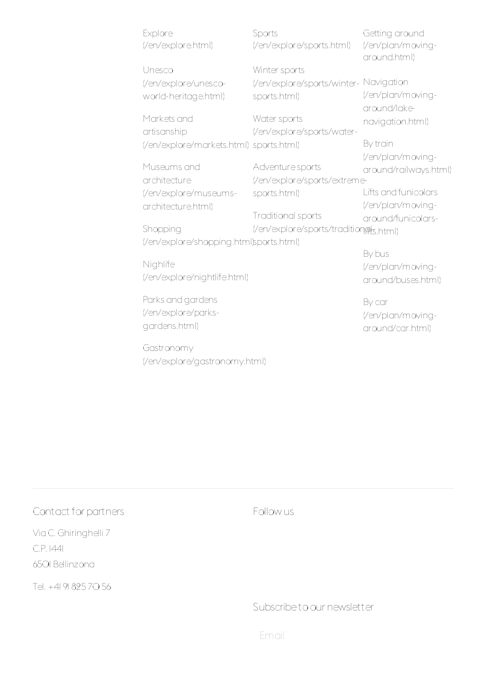| Explore                                 | Sports                                 | Getting around        |  |  |
|-----------------------------------------|----------------------------------------|-----------------------|--|--|
| (/en/explore.html)                      | (/en/explore/sports.html)              | (/en/plan/moving-     |  |  |
|                                         |                                        | around.html)          |  |  |
| Unesco                                  | Winter sports                          |                       |  |  |
| (/en/explore/unesco-                    | (/en/explore/sports/winter-            | Navigation            |  |  |
| world-heritage.html)                    | sports.html)                           | (/en/plan/moving-     |  |  |
|                                         |                                        | around/lake-          |  |  |
| Markets and                             | Water sports                           | navigation.html)      |  |  |
| artisanship                             | (/en/explore/sports/water-             |                       |  |  |
| (/en/explore/markets.html) sports.html) |                                        | By train              |  |  |
|                                         |                                        | (/en/plan/moving-     |  |  |
| Museums and                             | Adventure sports                       | around/railways.html) |  |  |
| architecture                            | (/en/explore/sports/extreme-           |                       |  |  |
| (/en/explore/museums-                   | sports.html)                           | Lifts and funicolars  |  |  |
| architecture.html)                      |                                        | (/en/plan/moving-     |  |  |
|                                         | Traditional sports                     | around/funicolars-    |  |  |
| Shopping                                | (/en/explore/sports/tradition@ts.html) |                       |  |  |
| (/en/explore/shopping.html)sports.html) |                                        |                       |  |  |
|                                         |                                        | By bus                |  |  |
| Nighlife                                |                                        | (/en/plan/moving-     |  |  |
| (/en/explore/nightlife.html)            |                                        | around/buses.html)    |  |  |
|                                         |                                        |                       |  |  |
| Parks and gardens                       |                                        | By car                |  |  |
| (/en/explore/parks-                     |                                        | (/en/plan/moving-     |  |  |
| gardens.html)                           |                                        | around/car.html)      |  |  |

Gastronomy (/en/explore/gastronomy.html) around/car.html)

## Contact for partners

Via C. Ghiringhelli 7 C.P. 1441 6501 Bellinzona

Tel. +41 91 825 70 56

### Follow us

Subscribeto our newsletter

Email